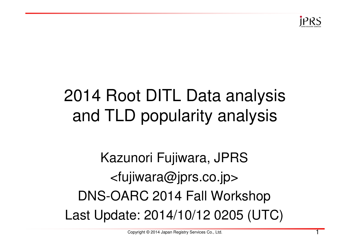

## 2014 Root DITL Data analysis and TLD popularity analysis

## Kazunori Fujiwara, JPRS<fujiwara@jprs.co.jp>DNS-OARC 2014 Fall WorkshopLast Update: 2014/10/12 0205 (UTC)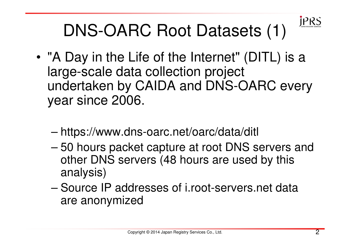

## DNS-OARC Root Datasets (1)

- • "A Day in the Life of the Internet" (DITL) is a large-scale data collection project undertaken by CAIDA and DNS-OARC every year since 2006.
	- –https://www.dns-oarc.net/oarc/data/ditl
	- – 50 hours packet capture at root DNS servers and other DNS servers (48 hours are used by this analysis)
	- – Source IP addresses of i.root-servers.net data are anonymized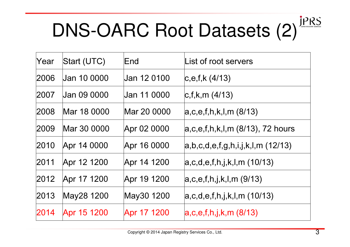## **JPRS** DNS-OARC Root Datasets (2)

| Year | Start (UTC) | End         | List of root servers               |
|------|-------------|-------------|------------------------------------|
| 2006 | Jan 10 0000 | Jan 12 0100 | c,e,f,k(4/13)                      |
| 2007 | Jan 09 0000 | Jan 11 0000 | c,f,k,m(4/13)                      |
| 2008 | Mar 18 0000 | Mar 20 0000 | a,c,e,f,h,k,l,m(8/13)              |
| 2009 | Mar 30 0000 | Apr 02 0000 | $ a,c,e,f,h,k,l,m(8/13), 72$ hours |
| 2010 | Apr 14 0000 | Apr 16 0000 | a,b,c,d,e,f,g,h,i,j,k,l,m(12/13)   |
| 2011 | Apr 12 1200 | Apr 14 1200 | a,c,d,e,f,h,j,k,l,m(10/13)         |
| 2012 | Apr 17 1200 | Apr 19 1200 | a,c,e,f,h,j,k,l,m(9/13)            |
| 2013 | May28 1200  | May30 1200  | a,c,d,e,f,h,j,k,l,m(10/13)         |
| 2014 | Apr 15 1200 | Apr 17 1200 | a,c,e,f,h,j,k,m(8/13)              |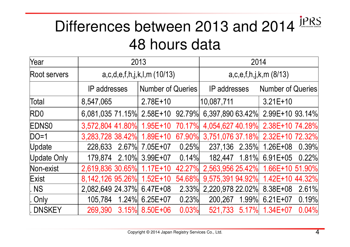### **JPRS** Differences between 2013 and 201448 hours data

| Year                          | 2013                         | 2014                                   |        |                     |  |                                  |       |
|-------------------------------|------------------------------|----------------------------------------|--------|---------------------|--|----------------------------------|-------|
| Root servers                  |                              | $a, c, d, e, f, h, j, k, l, m$ (10/13) |        |                     |  | $a, c, e, f, h, j, k, m$ (8/13)  |       |
|                               | <b>IP</b> addresses          | <b>Number of Queries</b>               |        | <b>IP</b> addresses |  | <b>Number of Queries</b>         |       |
| Total                         | 8,547,065                    | $2.78E+10$                             |        | 10,087,711          |  | $3.21E+10$                       |       |
| <b>RDO</b>                    | 6,081,035 71.15% 2.58E+10    |                                        | 92.79% |                     |  | 6,397,890 63.42% 2.99E+10 93.14% |       |
| <b>EDNS0</b>                  | 3,572,804 41.80% 1.95E+10    |                                        | 70.17% |                     |  | 4,054,627 40.19% 2.38E+10 74.28% |       |
| $DO=1$                        | 3,283,728 38.42% 1.89E+10    |                                        | 67.90% |                     |  | 3,751,076 37.18% 2.32E+10 72.32% |       |
| Update                        | 228,633 2.67% 7.05E+07 0.25% |                                        |        |                     |  | 237,136  2.35%  1.26E+08  0.39%  |       |
| Update Only                   | 179,874 2.10% 3.99E+07       |                                        | 0.14%  |                     |  | 182,447 1.81% 6.91E+05 0.22%     |       |
| Non-exist                     | 2,619,836 30.65% 1.17E+10    |                                        | 42.27% |                     |  | 2,563,956 25.42% 1.66E+10 51.90% |       |
| Exist                         | 8,142,126 95.26% 1.52E+10    |                                        | 54.68% |                     |  | 9,575,391 94.92% 1.42E+10 44.32% |       |
| $\overline{\phantom{a}}$ . NS | 2,082,649 24.37% 6.47E+08    |                                        | 2.33%  |                     |  | 2,220,978 22.02% 8.38E+08        | 2.61% |
| Only                          | 105,784 1.24% 6.25E+07       |                                        | 0.23%  | 200,267             |  | $1.99\%$ 6.21E+07                | 0.19% |
| . DNSKEY                      | 269,390                      | 3.15% 8.50E+06                         | 0.03%  | 521,733 5.17%       |  | $1.34E + 07$                     | 0.04% |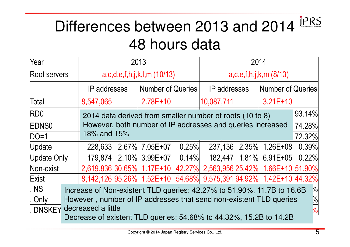### **JPRS** Differences between 2013 and 201448 hours data

| Year          | 2013                                                                                    |                                          |                                                                    |                     | 2014                            |                          |                        |               |
|---------------|-----------------------------------------------------------------------------------------|------------------------------------------|--------------------------------------------------------------------|---------------------|---------------------------------|--------------------------|------------------------|---------------|
| Root servers  |                                                                                         | $a, c, d, e, f, h, j, k, l, m$ (10/13)   |                                                                    |                     | $a, c, e, f, h, j, k, m$ (8/13) |                          |                        |               |
|               |                                                                                         | <b>IP</b> addresses<br>Number of Queries |                                                                    | <b>IP</b> addresses |                                 | <b>Number of Queries</b> |                        |               |
| Total         | $2.78E + 10$<br>8,547,065                                                               |                                          |                                                                    | 10,087,711          |                                 | $3.21E+10$               |                        |               |
| <b>RDO</b>    |                                                                                         |                                          | 2014 data derived from smaller number of roots (10 to 8)           |                     |                                 |                          |                        | 93.14%        |
| <b>IEDNS0</b> |                                                                                         |                                          | However, both number of IP addresses and queries increased         |                     |                                 |                          |                        | 74.28%        |
| $DO=1$        | 18% and 15%                                                                             |                                          |                                                                    |                     |                                 |                          |                        | 72.32%        |
| Update        | 228,633                                                                                 |                                          | 2.67% 7.05E+07                                                     | 0.25%               |                                 |                          | 237,136 2.35% 1.26E+08 | 0.39%         |
| Update Only   |                                                                                         |                                          | 179,874 2.10% 3.99E+07 0.14%                                       |                     |                                 |                          | 182,447 1.81% 6.91E+05 | 0.22%         |
| Non-exist     |                                                                                         |                                          | 2,619,836 30.65% 1.17E+10 42.27% 2,563,956 25.42% 1.66E+10 51.90%  |                     |                                 |                          |                        |               |
| Exist         | 8,142,126 95.26% 1.52E+10 54.68% 9,575,391 94.92% 1.42E+10 44.32%                       |                                          |                                                                    |                     |                                 |                          |                        |               |
| NS            | $\frac{1}{2}$<br>Increase of Non-existent TLD queries: 42.27% to 51.90%, 11.7B to 16.6B |                                          |                                                                    |                     |                                 |                          |                        |               |
| . Only        | $\frac{1}{2}$<br>However, number of IP addresses that send non-existent TLD queries     |                                          |                                                                    |                     |                                 |                          |                        |               |
| <b>DNSKEY</b> | decreased a little                                                                      |                                          |                                                                    |                     |                                 |                          |                        | $\frac{1}{2}$ |
|               |                                                                                         |                                          | Decrease of existent TLD queries: 54.68% to 44.32%, 15.2B to 14.2B |                     |                                 |                          |                        |               |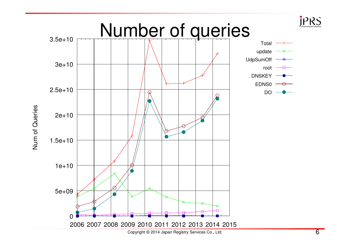

Num of Queries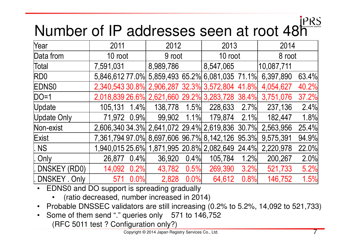## Number of IP addresses seen at root 48h

| Year               | 2011                                                      | 2012         |         | 2013      |      | 2014       |       |
|--------------------|-----------------------------------------------------------|--------------|---------|-----------|------|------------|-------|
| Data from          | 10 root                                                   | 9 root       |         | 10 root   |      | 8 root     |       |
| Total              | 7,591,031                                                 | 8,989,786    |         | 8,547,065 |      | 10,087,711 |       |
| RD <sub>0</sub>    | 5,846,612 77.0% 5,859,493 65.2% 6,081,035 71.1%           |              |         |           |      | 6,397,890  | 63.4% |
| <b>EDNS0</b>       | 2,340,543 30.8% 2,906,287 32.3% 3,572,804 41.8%           |              |         |           |      | 4,054,627  | 40.2% |
| $DO=1$             | 2,018,839 26.6% 2,621,660 29.2% 3,283,728 38.4%           |              |         |           |      | 3,751,076  | 37.2% |
| Update             | $1.4\%$<br>105,131                                        | 138,778 1.5% |         | 228,633   | 2.7% | 237,136    | 2.4%  |
| Update Only        | 71,972 0.9%                                               | 99,902 1.1%  |         | 179,874   | 2.1% | 182,447    | 1.8%  |
|                    | 2,606,340 34.3% 2,641,072 29.4% 2,619,836 30.7% 2,563,956 |              |         |           |      |            | 25.4% |
|                    | 7,361,794 97.0% 8,697,606 96.7% 8,142,126 95.3%           |              |         |           |      | 9,575,391  | 94.9% |
| . NS               | 1,940,015 25.6% 1,871,995 20.8% 2,082,649 24.4%           |              |         |           |      | 2,220,978  | 22.0% |
| . Only             | 0.4%<br>26,877                                            | 36,920       | 0.4%    | 105,784   | 1.2% | 200,267    | 2.0%  |
| LDNSKEY (RD0)      | 0.2%<br>14,092                                            | 43,782       | 0.5%    | 269,390   | 3.2% | 521,733    | 5.2%  |
| DNSKEY Only        | 0.0%<br>571                                               | 2,828        | $0.0\%$ | 64,612    | 0.8% | 146,752    | 1.5%  |
| Non-exist<br>Exist | $\Gamma$ DNICO and DO quanort is enrogating arodually     |              |         |           |      |            |       |

- • EDNS0 and DO support is spreading gradually
	- (ratio decreased, number increased in 2014) $\bullet$
- Probable DNSSEC validators are still increasing (0.2% to 5.2%, 14,092 to 521,733)
- • Some of them send "." queries only 571 to 146,752(RFC 5011 test ? Configuration only?)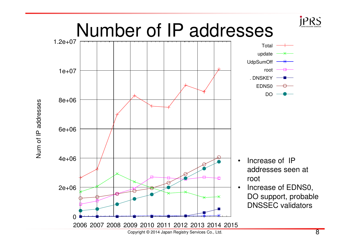

Num of IP addresses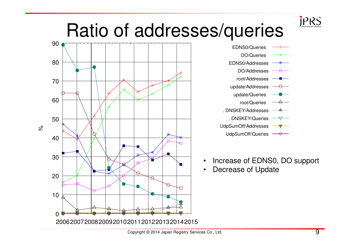### **JPRS** Ratio of addresses/queries



| EDNS0/Queries          |
|------------------------|
| <b>DO/Queries</b><br>⋇ |
| EDNS0/Addresses        |
| DO/Addresses           |
| root/Addresses         |
| update/Addresses       |
| update/Queries         |
| root/Queries           |
| .DNSKEY/Addresses      |
| . DNSKEY/Queries       |
| UdpSumOff/Addresses    |
| UdpSumOff/Queries      |

- •Increase of EDNS0, DO support
- •Decrease of Update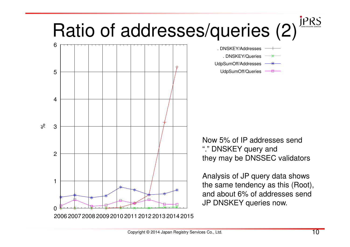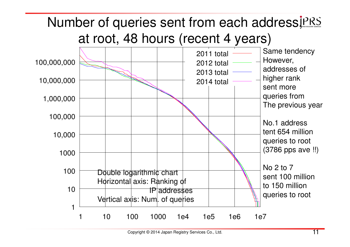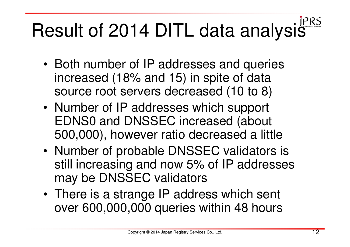# Result of 2014 DITL data analysis<sup>jers</sup>

- Both number of IP addresses and queries increased (18% and 15) in spite of data source root servers decreased (10 to 8)
- Number of IP addresses which support EDNS0 and DNSSEC increased (about 500,000), however ratio decreased a little
- • Number of probable DNSSEC validators is still increasing and now 5% of IP addresses may be DNSSEC validators
- There is a strange IP address which sent over 600,000,000 queries within 48 hours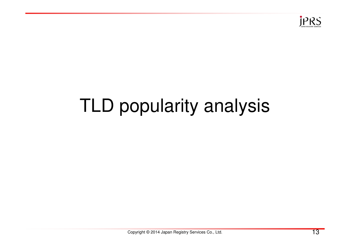

## TLD popularity analysis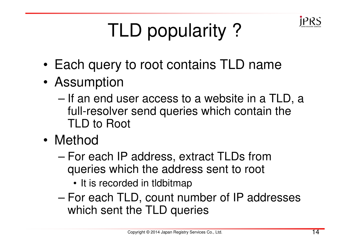

## TLD popularity ?

- •Each query to root contains TLD name
- • Assumption
	- – If an end user access to a website in a TLD, a full-resolver send queries which contain the TLD to Root
- • Method
	- – For each IP address, extract TLDs from queries which the address sent to root
		- It is recorded in tldbitmap
	- – For each TLD, count number of IP addresses which sent the TLD queries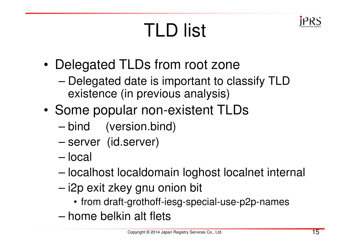## TLD list



- • Delegated TLDs from root zone
	- – Delegated date is important to classify TLD existence (in previous analysis)
- • Some popular non-existent TLDs
	- bind (version.bind)
	- server (id.server)
	- –local
	- –localhost localdomain loghost localnet internal
	- i2p exit zkey gnu onion bit
		- from draft-grothoff-iesg-special-use-p2p-names
	- –home belkin alt flets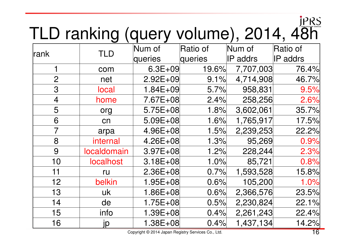# TLD ranking (query volume), 2014, 48h

| lrank          | TLD         | Num of                                            | Ratio of | Num of          | Ratio of        |
|----------------|-------------|---------------------------------------------------|----------|-----------------|-----------------|
|                |             | queries                                           | queries  | <b>IP</b> addrs | <b>IP</b> addrs |
| 1              | com         | $6.3E + 09$                                       | 19.6%    | 7,707,003       | 76.4%           |
| $\overline{2}$ | net         | $2.92E + 09$                                      | 9.1%     | 4,714,908       | 46.7%           |
| 3              | local       | $1.84E + 09$                                      | 5.7%     | 958,831         | 9.5%            |
| $\overline{4}$ | home        | 7.67E+08                                          | 2.4%     | 258,256         | 2.6%            |
| 5              | org         | $5.75E + 08$                                      | 1.8%     | 3,602,061       | 35.7%           |
| 6              | cn          | $5.09E + 08$                                      | 1.6%     | 1,765,917       | 17.5%           |
| $\overline{7}$ | arpa        | 4.96E+08                                          | 1.5%     | 2,239,253       | 22.2%           |
| 8              | internal    | $4.26E + 08$                                      | 1.3%     | 95,269          | 0.9%            |
| 9              | localdomain | $3.97E + 08$                                      | 1.2%     | 228,244         | 2.3%            |
| 10             | localhost   | $3.18E + 08$                                      | 1.0%     | 85,721          | 0.8%            |
| 11             | ru          | $2.36E + 08$                                      | 0.7%     | 1,593,528       | 15.8%           |
| 12             | belkin      | $1.95E + 08$                                      | 0.6%     | 105,200         | 1.0%            |
| 13             | uk          | $1.86E + 08$                                      | 0.6%     | 2,366,576       | 23.5%           |
| 14             | de          | $1.75E + 08$                                      | 0.5%     | 2,230,824       | 22.1%           |
| 15             | info        | $1.39E + 08$                                      | 0.4%     | 2,261,243       | 22.4%           |
| 16             | jp          | $1.38E + 08$                                      | 0.4%     | 1,437,134       | 14.2%           |
|                |             | Convright © 2014 Japan Registry Services Co. Ltd. |          |                 | 16              |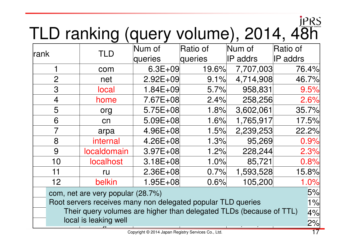# TLD ranking (query volume), 2014, 48h

| rank                                                               | TLD                                                                 | Num of                                             | Ratio of | Num of          | Ratio of        |
|--------------------------------------------------------------------|---------------------------------------------------------------------|----------------------------------------------------|----------|-----------------|-----------------|
|                                                                    |                                                                     | queries                                            | queries  | <b>IP</b> addrs | <b>IP</b> addrs |
|                                                                    | com                                                                 | $6.3E + 09$                                        | 19.6%    | 7,707,003       | 76.4%           |
| $\overline{2}$                                                     | net                                                                 | $2.92E + 09$                                       | 9.1%     | 4,714,908       | 46.7%           |
| 3                                                                  | <b>local</b>                                                        | $1.84E + 09$                                       | 5.7%     | 958,831         | 9.5%            |
| $\overline{4}$                                                     | home                                                                | 7.67E+08                                           | 2.4%     | 258,256         | 2.6%            |
| 5                                                                  | org                                                                 | $5.75E + 08$                                       | 1.8%     | 3,602,061       | 35.7%           |
| 6                                                                  | cn                                                                  | $5.09E + 08$                                       | 1.6%     | 1,765,917       | 17.5%           |
| $\overline{7}$                                                     | arpa                                                                | $4.96E + 08$                                       | 1.5%     | 2,239,253       | 22.2%           |
| 8                                                                  | internal                                                            | $4.26E + 08$                                       | 1.3%     | 95,269          | 0.9%            |
| 9                                                                  | <b>localdomain</b>                                                  | $3.97E + 08$                                       | 1.2%     | 228,244         | 2.3%            |
| 10                                                                 | <b>localhost</b>                                                    | $3.18E + 08$                                       | 1.0%     | 85,721          | 0.8%            |
| 11                                                                 | ru                                                                  | $2.36E + 08$                                       | 0.7%     | 1,593,528       | 15.8%           |
| 12                                                                 | belkin                                                              | $1.95E + 08$                                       | 0.6%     | 105,200         | 1.0%            |
|                                                                    | com, net are very popular (28.7%)                                   |                                                    |          |                 | 5%              |
| Root servers receives many non delegated popular TLD queries<br>1% |                                                                     |                                                    |          |                 |                 |
|                                                                    | Their query volumes are higher than delegated TLDs (because of TTL) |                                                    |          |                 | 4%              |
|                                                                    | local is leaking well                                               |                                                    |          |                 | 2%              |
|                                                                    |                                                                     | Copyright © 2014 Japan Registry Services Co., Ltd. |          |                 | 17              |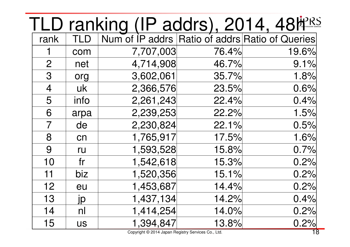|                |               | TLD ranking (IP addrs), 2014, 48MPRS<br>Trank TLD Num of IP addrs Ratio of addrs Ratio of Queries |       |       |
|----------------|---------------|---------------------------------------------------------------------------------------------------|-------|-------|
|                |               |                                                                                                   |       |       |
| 1              | com           | 7,707,003                                                                                         | 76.4% | 19.6% |
| $\overline{2}$ | net           | 4,714,908                                                                                         | 46.7% | 9.1%  |
| 3              | org           | 3,602,061                                                                                         | 35.7% | 1.8%  |
| $\overline{4}$ | uk            | 2,366,576                                                                                         | 23.5% | 0.6%  |
| 5              | info          | 2,261,243                                                                                         | 22.4% | 0.4%  |
| 6              | arpa          | 2,239,253                                                                                         | 22.2% | 1.5%  |
| $\overline{7}$ | de            | 2,230,824                                                                                         | 22.1% | 0.5%  |
| 8              | cn            | 1,765,917                                                                                         | 17.5% | 1.6%  |
| 9              | ru            | 1,593,528                                                                                         | 15.8% | 0.7%  |
| 10             | fr            | 1,542,618                                                                                         | 15.3% | 0.2%  |
| 11             | biz           | 1,520,356                                                                                         | 15.1% | 0.2%  |
| 12             | eu            | 1,453,687                                                                                         | 14.4% | 0.2%  |
| 13             | $\frac{j}{p}$ | 1,437,134                                                                                         | 14.2% | 0.4%  |
| 14             | nl            | 1,414,254                                                                                         | 14.0% | 0.2%  |
| 15             | <b>US</b>     | 1,394,847                                                                                         | 13.8% | 0.2%  |
|                |               | Copyright © 2014 Japan Registry Services Co., Ltd.                                                |       | 18    |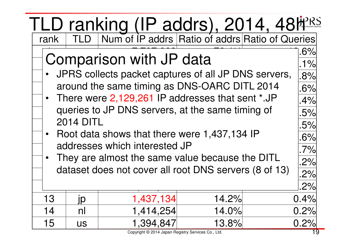| TLD ranking (IP addrs), 2014, 48 <sup>hPRS</sup><br>Trank TLD Num of IP addrs Ratio of addrs Ratio of Queries |                                                        |                                                       |       |  |      |  |  |  |
|---------------------------------------------------------------------------------------------------------------|--------------------------------------------------------|-------------------------------------------------------|-------|--|------|--|--|--|
|                                                                                                               | Comparison with JP data                                |                                                       |       |  |      |  |  |  |
|                                                                                                               |                                                        |                                                       |       |  | 1%   |  |  |  |
|                                                                                                               |                                                        | JPRS collects packet captures of all JP DNS servers,  |       |  | .8%  |  |  |  |
|                                                                                                               |                                                        | around the same timing as DNS-OARC DITL 2014          |       |  | .6%  |  |  |  |
|                                                                                                               |                                                        | • There were 2,129,261 IP addresses that sent *.JP    |       |  | .4%  |  |  |  |
|                                                                                                               |                                                        | queries to JP DNS servers, at the same timing of      |       |  | .5%  |  |  |  |
|                                                                                                               | <b>2014 DITL</b>                                       |                                                       |       |  | .5%  |  |  |  |
|                                                                                                               |                                                        | • Root data shows that there were 1,437,134 IP        |       |  | .6%  |  |  |  |
|                                                                                                               |                                                        | addresses which interested JP                         |       |  | .7%  |  |  |  |
|                                                                                                               |                                                        | They are almost the same value because the DITL       |       |  | .2%  |  |  |  |
|                                                                                                               |                                                        | dataset does not cover all root DNS servers (8 of 13) |       |  | .2%  |  |  |  |
|                                                                                                               | 2%                                                     |                                                       |       |  |      |  |  |  |
| 13                                                                                                            | 14.2%<br>0.4%<br>1,437,134<br>$\underline{\mathsf{j}}$ |                                                       |       |  |      |  |  |  |
| 14                                                                                                            | 1,414,254<br>14.0%<br>0.2%<br>nl                       |                                                       |       |  |      |  |  |  |
| 15                                                                                                            | <b>US</b>                                              | 1,394,847                                             | 13.8% |  | 0.2% |  |  |  |
|                                                                                                               |                                                        | Copyright @ 2014 Japan Registry Services Co., Ltd.    |       |  | 19   |  |  |  |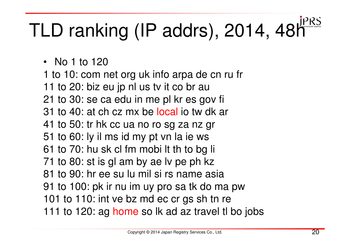# TLD ranking (IP addrs), 2014, 48h<sup>PRS</sup>

• No 1 to 120

 1 to 10: com net org uk info arpa de cn ru fr11 to 20: biz eu jp nl us tv it co br au 21 to 30: se ca edu in me pl kr es gov fi31 to 40: at ch cz mx be local io tw dk ar 41 to 50: tr hk cc ua no ro sg za nz gr51 to 60: ly il ms id my pt vn la ie ws 61 to 70: hu sk cl fm mobi lt th to bg li71 to 80: st is gl am by ae lv pe ph kz 81 to 90: hr ee su lu mil si rs name asia 91 to 100: pk ir nu im uy pro sa tk do ma pw101 to 110: int ve bz md ec cr gs sh tn re 111 to 120: ag <mark>home</mark> so lk ad az travel tl bo jobs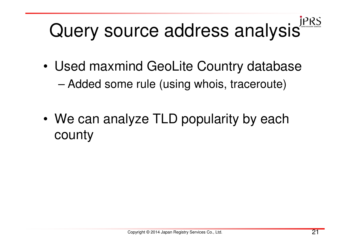# Query source address analysis<sup>JPRS</sup>

- • Used maxmind GeoLite Country database–Added some rule (using whois, traceroute)
- •We can analyze TLD popularity by each county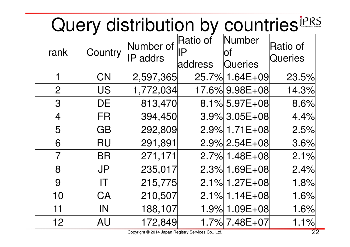## Query distribution by countries<sup>jPRS</sup>

| rank           | Country   | Number of<br><b>IP</b> addrs | Ratio of<br>IP<br>address | Number<br>Οf<br>Queries | Ratio of<br>Queries |
|----------------|-----------|------------------------------|---------------------------|-------------------------|---------------------|
| 1              | <b>CN</b> | 2,597,365                    |                           | 25.7% 1.64E+09          | 23.5%               |
| $\overline{2}$ | <b>US</b> | 1,772,034                    |                           | 17.6% 9.98E+08          | 14.3%               |
| 3              | <b>DE</b> | 813,470                      |                           | 8.1% 5.97E+08           | 8.6%                |
| $\overline{4}$ | <b>FR</b> | 394,450                      |                           | $3.9\%$ 3.05E+08        | 4.4%                |
| 5              | <b>GB</b> | 292,809                      |                           | 2.9% 1.71E+08           | 2.5%                |
| 6              | <b>RU</b> | 291,891                      |                           | $2.9\%$ 2.54E+08        | 3.6%                |
| $\overline{7}$ | <b>BR</b> | 271,171                      |                           | 2.7% 1.48E+08           | 2.1%                |
| 8              | <b>JP</b> | 235,017                      |                           | 2.3% 1.69E+08           | 2.4%                |
| 9              | IT        | 215,775                      |                           | 2.1% 1.27E+08           | 1.8%                |
| 10             | CA        | 210,507                      |                           | $2.1\%$ 1.14E+08        | 1.6%                |
| 11             | IN        | 188,107                      |                           | 1.9% 1.09E+08           | 1.6%                |
| 12             | <b>AU</b> | 172,849                      |                           | 1.7% 7.48E+07           | 1.1%                |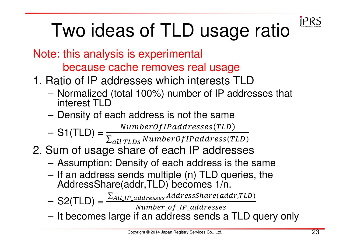## Two ideas of TLD usage ratio

- Note: this analysis is experimentalbecause cache removes real usage
- 1. Ratio of IP addresses which interests TLD
	- INATHERIZAN UATEL TUDY. LITUNGI AL IP SANT Normalized (total 100%) number of IP addresses that interest TLD
	- $-$  Haneliv of  $\overline{\phantom{a}}$ Density of each address is not the same

- – $S1(TLD) = \frac{NumberOfIPaddresses(TLD)}{\sum_{all\ TLDS}NumberOfIPaddress(TLD)}$
- 2. Sum of usage share of each IP addresses
	- –Assumption: Density of each address is the same
	- $-$  It an address sends multiple (n) TLD queries the If an address sends multiple (n) TLD queries, the AddressShare(addr,TLD) becomes 1/n.
	- – $S2(TLD) =$  $\Sigma_{All\_IP\_addresses}$  AddressShare(addr,TLD)

Number\_of\_IP\_addresses

–It becomes large if an address sends a TLD query only

**IPRS**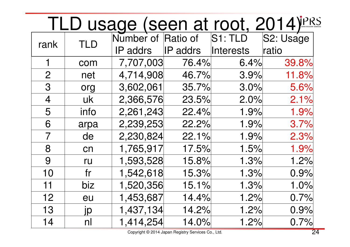|                |            | <u>TLD usage (seen at root, 2014)</u> |                 |                  |           |
|----------------|------------|---------------------------------------|-----------------|------------------|-----------|
| rank           | <b>TLD</b> | Number of Ratio of                    |                 | S1: TLD          | S2: Usage |
|                |            | IP addrs                              | <b>IP</b> addrs | <b>Interests</b> | ratio     |
| 1              | com        | 7,707,003                             | 76.4%           | 6.4%             | 39.8%     |
| $\overline{2}$ | net        | 4,714,908                             | 46.7%           | 3.9%             | 11.8%     |
| 3              | org        | 3,602,061                             | 35.7%           | 3.0%             | 5.6%      |
| $\overline{4}$ | uk         | 2,366,576                             | 23.5%           | 2.0%             | 2.1%      |
| 5              | info       | 2,261,243                             | 22.4%           | 1.9%             | 1.9%      |
| 6              | arpa       | 2,239,253                             | 22.2%           | 1.9%             | 3.7%      |
| $\overline{7}$ | de         | 2,230,824                             | 22.1%           | 1.9%             | 2.3%      |
| 8              | cn         | 1,765,917                             | 17.5%           | 1.5%             | 1.9%      |
| 9              | ru         | 1,593,528                             | 15.8%           | 1.3%             | 1.2%      |
| 10             | fr         | 1,542,618                             | 15.3%           | 1.3%             | 0.9%      |
| 11             | biz        | 1,520,356                             | 15.1%           | 1.3%             | 1.0%      |
| 12             | eu         | 1,453,687                             | 14.4%           | 1.2%             | 0.7%      |
| 13             | Jp         | 1,437,134                             | 14.2%           | 1.2%             | 0.9%      |
| 14             | nl         | 1,414,254                             | 14.0%           | 1.2%             | 0.7%      |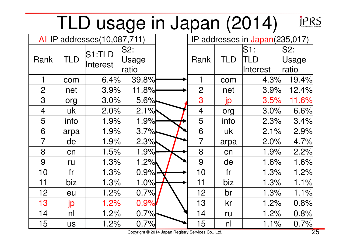|                |            | TLD usage in Japan (2014)           |                           |                |                |                                     | <b>JPRS</b>           |
|----------------|------------|-------------------------------------|---------------------------|----------------|----------------|-------------------------------------|-----------------------|
|                |            | <b>All IP addresses(10,087,711)</b> |                           |                |                | IP addresses in Japan(235,017)      |                       |
| Rank           | <b>TLD</b> | S1:TLD<br>Interest                  | $ $ S2:<br>Usage<br>ratio | Rank           | TLD            | $\sf S1:$<br>TLD<br><b>Interest</b> | S2:<br>Usage<br>ratio |
|                | com        | 6.4%                                | 39.8%                     | 1              | com            | 4.3%                                | 19.4%                 |
| $\overline{2}$ | net        | 3.9%                                | 11.8%                     | $\overline{2}$ | net            | 3.9%                                | 12.4%                 |
| 3              | org        | 3.0%                                | 5.6%                      | 3              | jp             | 3.5%                                | 11.6%                 |
| $\overline{4}$ | uk         | 2.0%                                | 2.1%                      | $\overline{4}$ | org            | 3.0%                                | 6.6%                  |
| 5              | info       | 1.9%                                | 1.9%                      | 5              | info           | 2.3%                                | 3.4%                  |
| 6              | arpa       | 1.9%                                | 3.7%                      | 6              | uk             | 2.1%                                | 2.9%                  |
| $\overline{7}$ | de         | 1.9%                                | 2.3%                      | $\overline{7}$ | arpa           | 2.0%                                | 4.7%                  |
| 8              | cn         | 1.5%                                | 1.9%                      | 8              | cn             | 1.9%                                | 2.2%                  |
| 9              | ru         | 1.3%                                | 1.2%                      | 9              | de             | 1.6%                                | 1.6%                  |
| 10             | fr         | 1.3%                                | 0.9%                      | 10             | fr             | 1.3%                                | 1.2%                  |
| 11             | biz        | 1.3%                                | 1.0%                      | 11             | biz            | 1.3%                                | 1.1%                  |
| 12             | eu         | 1.2%                                | 0.7%                      | 12             | br             | 1.3%                                | 1.1%                  |
| 13             | jp         | 1.2%                                | 0.9%                      | 13             | kr             | 1.2%                                | 0.8%                  |
| 14             | nl         | 1.2%                                | 0.7%                      | 14             | ru             | 1.2%                                | 0.8%                  |
| 15             | <b>US</b>  | 1.2%                                | 0.7%                      | 15             | n <sub>l</sub> | 1.1%                                | 0.7%                  |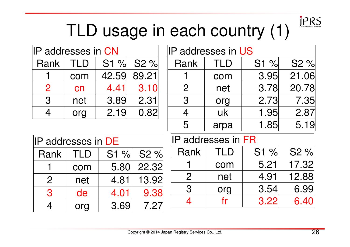

## TLD usage in each country (1)

| IIP addresses in CN |            |       |       |  |  |
|---------------------|------------|-------|-------|--|--|
| Rank                | <b>TLD</b> | S1%   | S2 %  |  |  |
|                     | com        | 42.59 | 89.21 |  |  |
| 2                   | cn         | 4.41  | 3.10  |  |  |
| 3                   | net        | 3.89  | 2.31  |  |  |
| $\varLambda$        | org        | 2.19  | 0.82  |  |  |

| <b>IP addresses in US</b> |            |         |                  |  |
|---------------------------|------------|---------|------------------|--|
| Rank                      | <b>TLD</b> | $S1 \%$ | S <sub>2</sub> % |  |
|                           | com        | 3.95    | 21.06            |  |
| $\mathbf{2}$              | net        | 3.78    | 20.78            |  |
| 3                         | org        | 2.73    | 7.35             |  |
| 4                         | uk         | 1.95    | 2.87             |  |
| 5                         | arpa       | 1.85    | 5.19             |  |

| <b>IP addresses in DE</b> |            |                  |       |  |
|---------------------------|------------|------------------|-------|--|
| Rank                      | <b>TLD</b> | S <sub>2</sub> % |       |  |
|                           | com        | 5.80             | 22.32 |  |
| $\overline{2}$            | net        | 4.81             | 13.92 |  |
| 3                         | de         | 4.01             | 9.38  |  |
|                           | org        | 3.69             | 7.27  |  |

| IP addresses in FR |     |      |       |  |
|--------------------|-----|------|-------|--|
| Rank               | TLD | S1%  | S2%   |  |
|                    | com | 5.21 | 17.32 |  |
| $\mathcal{P}$      | net | 4.91 | 12.88 |  |
| 3                  | org | 3.54 | 6.99  |  |
|                    |     | 3.22 | 6.40  |  |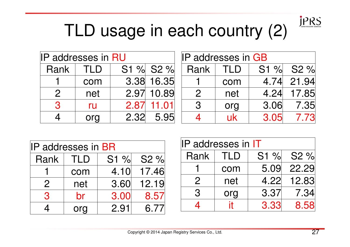

## TLD usage in each country (2)

| <b>IP addresses in RU</b> |     |      | <b>IP addresses in GB</b> |               |     |      |           |
|---------------------------|-----|------|---------------------------|---------------|-----|------|-----------|
| Rank                      | TLD |      | S1 % S2 %                 | Rank          | TLD |      | S1 % S2 % |
|                           | com |      | 3.38 16.35                |               | com | 4.74 | 21.94     |
| $\mathcal{P}$             | net | 2.97 | 10.89                     | $\mathcal{P}$ | net | 4.24 | 17.85     |
| R                         | ru  | 2.87 | 11.01                     | 3             | org | 3.06 | 7.35      |
|                           | org | 2.32 | 5.95                      |               | uk  | 3.05 | 7.73      |

| IP addresses in BR |     |         |        |  |
|--------------------|-----|---------|--------|--|
| Rank               | TLD | $S1 \%$ | $S2\%$ |  |
|                    | com | 4.10    | 17.46  |  |
| $\overline{2}$     | net | 3.60    | 12.19  |  |
| 3                  | br  | 3.00    | 8.57   |  |
|                    | ora | 2.91    | 6.77   |  |

| <b>IP addresses in IT</b> |                                |      |       |  |  |  |
|---------------------------|--------------------------------|------|-------|--|--|--|
| Rank                      | S <sub>2</sub> %<br>S1%<br>TLD |      |       |  |  |  |
|                           | com                            | 5.09 | 22.29 |  |  |  |
| $\overline{2}$            | net                            | 4.22 | 12.83 |  |  |  |
| 3                         | org                            | 3.37 | 7.34  |  |  |  |
|                           |                                | 3.33 | 8.58  |  |  |  |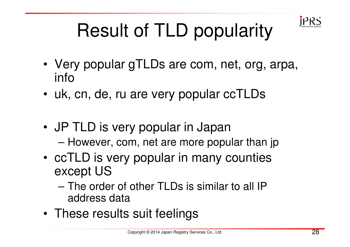

## Result of TLD popularity

- Very popular gTLDs are com, net, org, arpa, info
- uk, cn, de, ru are very popular ccTLDs
- JP TLD is very popular in JapanHowever, com, net are more popular than jp
- ccTLD is very popular in many counties except US
	- $-$  The ord The order of other TLDs is similar to all IP address data
- These results suit feelings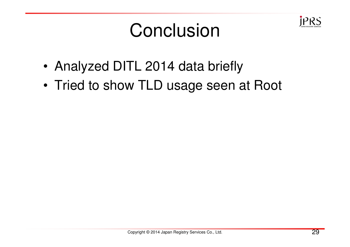

## **Conclusion**

- •Analyzed DITL 2014 data briefly
- •Tried to show TLD usage seen at Root